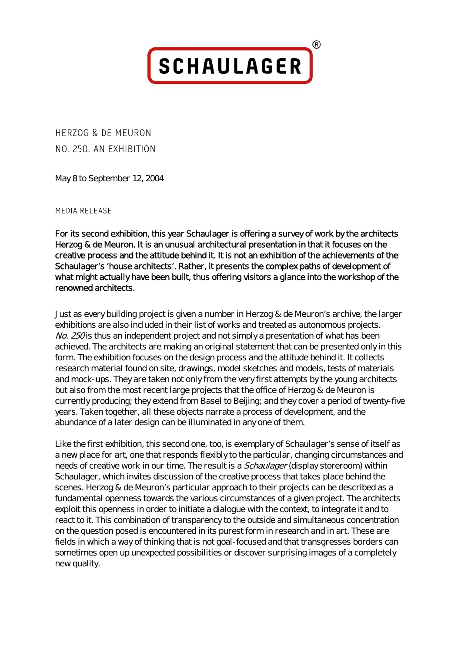**SCHAULAGER** 

**R)** 

HERZOG & DE MEURON NO. 250. AN EXHIBITION

May 8 to September 12, 2004

## MEDIA RELEASE

For its second exhibition, this year Schaulager is offering a survey of work by the architects Herzog & de Meuron. It is an unusual architectural presentation in that it focuses on the creative process and the attitude behind it. It is not an exhibition of the achievements of the Schaulager's 'house architects'. Rather, it presents the complex paths of development of what might actually have been built, thus offering visitors a glance into the workshop of the renowned architects.

Just as every building project is given a number in Herzog & de Meuron's archive, the larger exhibitions are also included in their list of works and treated as autonomous projects. No. 250 is thus an independent project and not simply a presentation of what has been achieved. The architects are making an original statement that can be presented only in this form. The exhibition focuses on the design process and the attitude behind it. It collects research material found on site, drawings, model sketches and models, tests of materials and mock-ups. They are taken not only from the very first attempts by the young architects but also from the most recent large projects that the office of Herzog & de Meuron is currently producing; they extend from Basel to Beijing; and they cover a period of twenty-five years. Taken together, all these objects narrate a process of development, and the abundance of a later design can be illuminated in any one of them.

Like the first exhibition, this second one, too, is exemplary of Schaulager's sense of itself as a new place for art, one that responds flexibly to the particular, changing circumstances and needs of creative work in our time. The result is a *Schaulager* (display storeroom) within Schaulager, which invites discussion of the creative process that takes place behind the scenes. Herzog & de Meuron's particular approach to their projects can be described as a fundamental openness towards the various circumstances of a given project. The architects exploit this openness in order to initiate a dialogue with the context, to integrate it and to react to it. This combination of transparency to the outside and simultaneous concentration on the question posed is encountered in its purest form in research and in art. These are fields in which a way of thinking that is not goal-focused and that transgresses borders can sometimes open up unexpected possibilities or discover surprising images of a completely new quality.